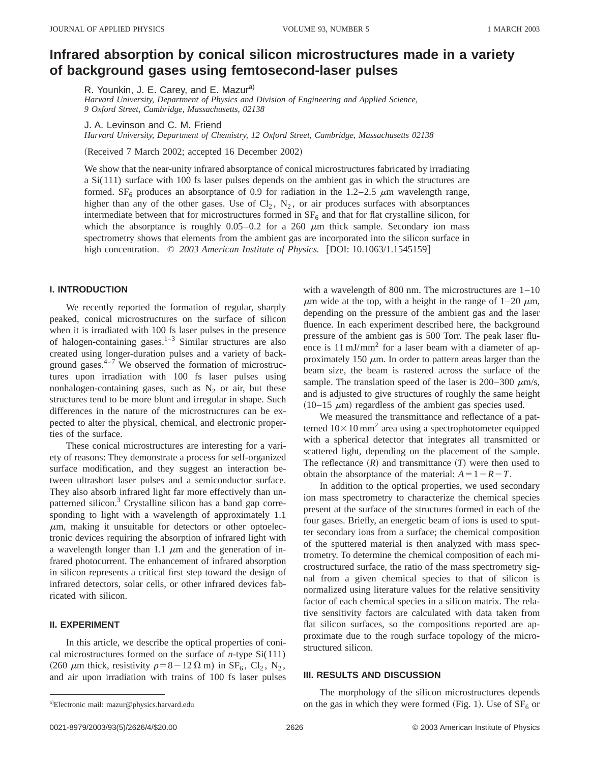# **Infrared absorption by conical silicon microstructures made in a variety of background gases using femtosecond-laser pulses**

R. Younkin, J. E. Carey, and E. Mazur<sup>a)</sup>

*Harvard University, Department of Physics and Division of Engineering and Applied Science, 9 Oxford Street, Cambridge, Massachusetts, 02138*

J. A. Levinson and C. M. Friend

*Harvard University, Department of Chemistry, 12 Oxford Street, Cambridge, Massachusetts 02138*

(Received 7 March 2002; accepted 16 December 2002)

We show that the near-unity infrared absorptance of conical microstructures fabricated by irradiating a Si(111) surface with 100 fs laser pulses depends on the ambient gas in which the structures are formed. SF<sub>6</sub> produces an absorptance of 0.9 for radiation in the 1.2–2.5  $\mu$ m wavelength range, higher than any of the other gases. Use of  $Cl_2$ ,  $N_2$ , or air produces surfaces with absorptances intermediate between that for microstructures formed in  $SF<sub>6</sub>$  and that for flat crystalline silicon, for which the absorptance is roughly  $0.05-0.2$  for a 260  $\mu$ m thick sample. Secondary ion mass spectrometry shows that elements from the ambient gas are incorporated into the silicon surface in high concentration.  $\oslash$  2003 American Institute of Physics. [DOI: 10.1063/1.1545159]

### **I. INTRODUCTION**

We recently reported the formation of regular, sharply peaked, conical microstructures on the surface of silicon when it is irradiated with 100 fs laser pulses in the presence of halogen-containing gases. $1-3$  Similar structures are also created using longer-duration pulses and a variety of background gases. $4-7$  We observed the formation of microstructures upon irradiation with 100 fs laser pulses using nonhalogen-containing gases, such as  $N_2$  or air, but these structures tend to be more blunt and irregular in shape. Such differences in the nature of the microstructures can be expected to alter the physical, chemical, and electronic properties of the surface.

These conical microstructures are interesting for a variety of reasons: They demonstrate a process for self-organized surface modification, and they suggest an interaction between ultrashort laser pulses and a semiconductor surface. They also absorb infrared light far more effectively than unpatterned silicon.<sup>3</sup> Crystalline silicon has a band gap corresponding to light with a wavelength of approximately 1.1  $\mu$ m, making it unsuitable for detectors or other optoelectronic devices requiring the absorption of infrared light with a wavelength longer than 1.1  $\mu$ m and the generation of infrared photocurrent. The enhancement of infrared absorption in silicon represents a critical first step toward the design of infrared detectors, solar cells, or other infrared devices fabricated with silicon.

## **II. EXPERIMENT**

In this article, we describe the optical properties of conical microstructures formed on the surface of *n*-type Si(111) (260  $\mu$ m thick, resistivity  $\rho=8-12 \Omega$  m) in SF<sub>6</sub>, Cl<sub>2</sub>, N<sub>2</sub>, and air upon irradiation with trains of 100 fs laser pulses with a wavelength of 800 nm. The microstructures are 1–10  $\mu$ m wide at the top, with a height in the range of 1–20  $\mu$ m, depending on the pressure of the ambient gas and the laser fluence. In each experiment described here, the background pressure of the ambient gas is 500 Torr. The peak laser fluence is  $11 \text{ mJ/mm}^2$  for a laser beam with a diameter of approximately 150  $\mu$ m. In order to pattern areas larger than the beam size, the beam is rastered across the surface of the sample. The translation speed of the laser is 200–300  $\mu$ m/s, and is adjusted to give structures of roughly the same height  $(10-15 \mu m)$  regardless of the ambient gas species used.

We measured the transmittance and reflectance of a patterned  $10\times10$  mm<sup>2</sup> area using a spectrophotometer equipped with a spherical detector that integrates all transmitted or scattered light, depending on the placement of the sample. The reflectance  $(R)$  and transmittance  $(T)$  were then used to obtain the absorptance of the material:  $A=1-R-T$ .

In addition to the optical properties, we used secondary ion mass spectrometry to characterize the chemical species present at the surface of the structures formed in each of the four gases. Briefly, an energetic beam of ions is used to sputter secondary ions from a surface; the chemical composition of the sputtered material is then analyzed with mass spectrometry. To determine the chemical composition of each microstructured surface, the ratio of the mass spectrometry signal from a given chemical species to that of silicon is normalized using literature values for the relative sensitivity factor of each chemical species in a silicon matrix. The relative sensitivity factors are calculated with data taken from flat silicon surfaces, so the compositions reported are approximate due to the rough surface topology of the microstructured silicon.

## **III. RESULTS AND DISCUSSION**

The morphology of the silicon microstructures depends on the gas in which they were formed (Fig. 1). Use of  $SF_6$  or

a)Electronic mail: mazur@physics.harvard.edu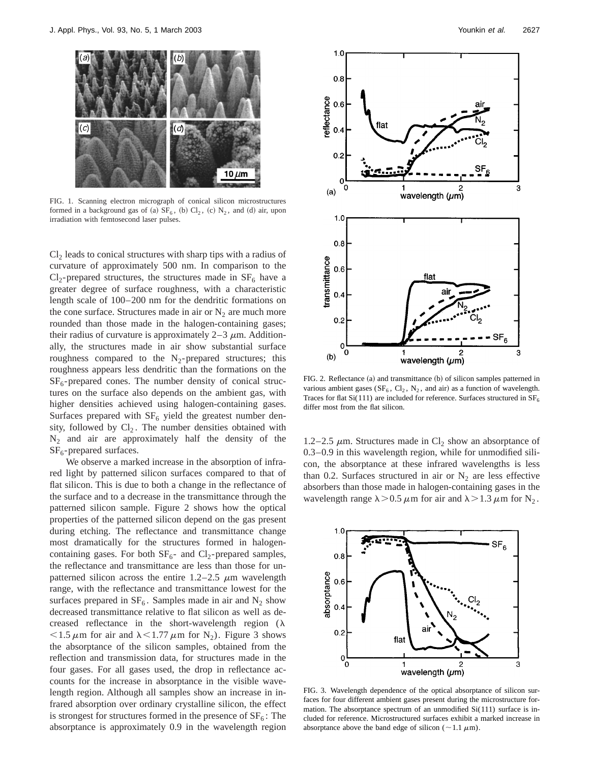

FIG. 1. Scanning electron micrograph of conical silicon microstructures formed in a background gas of (a)  $SF_6$ , (b)  $Cl_2$ , (c)  $N_2$ , and (d) air, upon irradiation with femtosecond laser pulses.

 $Cl<sub>2</sub>$  leads to conical structures with sharp tips with a radius of curvature of approximately 500 nm. In comparison to the  $Cl_2$ -prepared structures, the structures made in  $SF_6$  have a greater degree of surface roughness, with a characteristic length scale of 100–200 nm for the dendritic formations on the cone surface. Structures made in air or  $N_2$  are much more rounded than those made in the halogen-containing gases; their radius of curvature is approximately  $2-3 \mu m$ . Additionally, the structures made in air show substantial surface roughness compared to the  $N_2$ -prepared structures; this roughness appears less dendritic than the formations on the  $SF<sub>6</sub>$ -prepared cones. The number density of conical structures on the surface also depends on the ambient gas, with higher densities achieved using halogen-containing gases. Surfaces prepared with  $SF<sub>6</sub>$  yield the greatest number density, followed by  $Cl_2$ . The number densities obtained with  $N_2$  and air are approximately half the density of the  $SF<sub>6</sub>$ -prepared surfaces.

We observe a marked increase in the absorption of infrared light by patterned silicon surfaces compared to that of flat silicon. This is due to both a change in the reflectance of the surface and to a decrease in the transmittance through the patterned silicon sample. Figure 2 shows how the optical properties of the patterned silicon depend on the gas present during etching. The reflectance and transmittance change most dramatically for the structures formed in halogencontaining gases. For both  $SF_6$ - and  $Cl_2$ -prepared samples, the reflectance and transmittance are less than those for unpatterned silicon across the entire  $1.2-2.5 \mu m$  wavelength range, with the reflectance and transmittance lowest for the surfaces prepared in  $SF_6$ . Samples made in air and  $N_2$  show decreased transmittance relative to flat silicon as well as decreased reflectance in the short-wavelength region  $(\lambda)$  $<$ 1.5  $\mu$ m for air and  $\lambda$ <1.77  $\mu$ m for N<sub>2</sub>). Figure 3 shows the absorptance of the silicon samples, obtained from the reflection and transmission data, for structures made in the four gases. For all gases used, the drop in reflectance accounts for the increase in absorptance in the visible wavelength region. Although all samples show an increase in infrared absorption over ordinary crystalline silicon, the effect is strongest for structures formed in the presence of  $SF<sub>6</sub>$ : The absorptance is approximately 0.9 in the wavelength region



FIG. 2. Reflectance  $(a)$  and transmittance  $(b)$  of silicon samples patterned in various ambient gases ( $SF_6$ ,  $Cl_2$ ,  $N_2$ , and air) as a function of wavelength. Traces for flat  $Si(111)$  are included for reference. Surfaces structured in  $SF<sub>6</sub>$ differ most from the flat silicon.

1.2–2.5  $\mu$ m. Structures made in Cl<sub>2</sub> show an absorptance of 0.3–0.9 in this wavelength region, while for unmodified silicon, the absorptance at these infrared wavelengths is less than 0.2. Surfaces structured in air or  $N_2$  are less effective absorbers than those made in halogen-containing gases in the wavelength range  $\lambda > 0.5 \mu m$  for air and  $\lambda > 1.3 \mu m$  for N<sub>2</sub>.



FIG. 3. Wavelength dependence of the optical absorptance of silicon surfaces for four different ambient gases present during the microstructure formation. The absorptance spectrum of an unmodified Si(111) surface is included for reference. Microstructured surfaces exhibit a marked increase in absorptance above the band edge of silicon ( $\sim$ 1.1  $\mu$ m).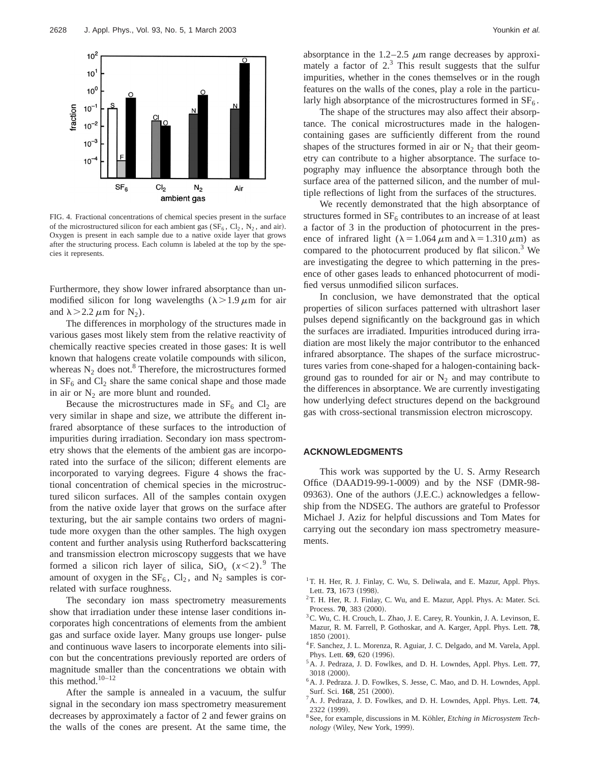

FIG. 4. Fractional concentrations of chemical species present in the surface of the microstructured silicon for each ambient gas  $(SF_6, Cl_2, N_2, and air)$ . Oxygen is present in each sample due to a native oxide layer that grows after the structuring process. Each column is labeled at the top by the species it represents.

Furthermore, they show lower infrared absorptance than unmodified silicon for long wavelengths  $(\lambda > 1.9 \mu m)$  for air and  $\lambda$  > 2.2  $\mu$ m for N<sub>2</sub>).

The differences in morphology of the structures made in various gases most likely stem from the relative reactivity of chemically reactive species created in those gases: It is well known that halogens create volatile compounds with silicon, whereas  $N_2$  does not.<sup>8</sup> Therefore, the microstructures formed in  $SF<sub>6</sub>$  and  $CI<sub>2</sub>$  share the same conical shape and those made in air or  $N_2$  are more blunt and rounded.

Because the microstructures made in  $SF<sub>6</sub>$  and  $CI<sub>2</sub>$  are very similar in shape and size, we attribute the different infrared absorptance of these surfaces to the introduction of impurities during irradiation. Secondary ion mass spectrometry shows that the elements of the ambient gas are incorporated into the surface of the silicon; different elements are incorporated to varying degrees. Figure 4 shows the fractional concentration of chemical species in the microstructured silicon surfaces. All of the samples contain oxygen from the native oxide layer that grows on the surface after texturing, but the air sample contains two orders of magnitude more oxygen than the other samples. The high oxygen content and further analysis using Rutherford backscattering and transmission electron microscopy suggests that we have formed a silicon rich layer of silica,  $SiO_x$  ( $x$ <2).<sup>9</sup> The amount of oxygen in the  $SF_6$ ,  $Cl_2$ , and  $N_2$  samples is correlated with surface roughness.

The secondary ion mass spectrometry measurements show that irradiation under these intense laser conditions incorporates high concentrations of elements from the ambient gas and surface oxide layer. Many groups use longer- pulse and continuous wave lasers to incorporate elements into silicon but the concentrations previously reported are orders of magnitude smaller than the concentrations we obtain with this method. $10-12$ 

After the sample is annealed in a vacuum, the sulfur signal in the secondary ion mass spectrometry measurement decreases by approximately a factor of 2 and fewer grains on the walls of the cones are present. At the same time, the absorptance in the  $1.2-2.5 \mu m$  range decreases by approximately a factor of 2.<sup>3</sup> This result suggests that the sulfur impurities, whether in the cones themselves or in the rough features on the walls of the cones, play a role in the particularly high absorptance of the microstructures formed in  $SF<sub>6</sub>$ .

The shape of the structures may also affect their absorptance. The conical microstructures made in the halogencontaining gases are sufficiently different from the round shapes of the structures formed in air or  $N_2$  that their geometry can contribute to a higher absorptance. The surface topography may influence the absorptance through both the surface area of the patterned silicon, and the number of multiple reflections of light from the surfaces of the structures.

We recently demonstrated that the high absorptance of structures formed in  $SF_6$  contributes to an increase of at least a factor of 3 in the production of photocurrent in the presence of infrared light ( $\lambda = 1.064 \mu$ m and  $\lambda = 1.310 \mu$ m) as compared to the photocurrent produced by flat silicon.3 We are investigating the degree to which patterning in the presence of other gases leads to enhanced photocurrent of modified versus unmodified silicon surfaces.

In conclusion, we have demonstrated that the optical properties of silicon surfaces patterned with ultrashort laser pulses depend significantly on the background gas in which the surfaces are irradiated. Impurities introduced during irradiation are most likely the major contributor to the enhanced infrared absorptance. The shapes of the surface microstructures varies from cone-shaped for a halogen-containing background gas to rounded for air or  $N_2$  and may contribute to the differences in absorptance. We are currently investigating how underlying defect structures depend on the background gas with cross-sectional transmission electron microscopy.

#### **ACKNOWLEDGMENTS**

This work was supported by the U. S. Army Research Office  $(DAAD19-99-1-0009)$  and by the NSF  $(DMR-98-1)$  $09363$ ). One of the authors  $(J.E.C.)$  acknowledges a fellowship from the NDSEG. The authors are grateful to Professor Michael J. Aziz for helpful discussions and Tom Mates for carrying out the secondary ion mass spectrometry measurements.

- <sup>1</sup>T. H. Her, R. J. Finlay, C. Wu, S. Deliwala, and E. Mazur, Appl. Phys. Lett. 73, 1673 (1998).
- <sup>2</sup>T. H. Her, R. J. Finlay, C. Wu, and E. Mazur, Appl. Phys. A: Mater. Sci. Process. **70**, 383 (2000).
- 3C. Wu, C. H. Crouch, L. Zhao, J. E. Carey, R. Younkin, J. A. Levinson, E. Mazur, R. M. Farrell, P. Gothoskar, and A. Karger, Appl. Phys. Lett. **78**, 1850 (2001).
- <sup>4</sup>F. Sanchez, J. L. Morenza, R. Aguiar, J. C. Delgado, and M. Varela, Appl. Phys. Lett. **69**, 620 (1996).
- 5A. J. Pedraza, J. D. Fowlkes, and D. H. Lowndes, Appl. Phys. Lett. **77**, 3018 (2000).
- 6A. J. Pedraza. J. D. Fowlkes, S. Jesse, C. Mao, and D. H. Lowndes, Appl. Surf. Sci. 168, 251 (2000).
- 7A. J. Pedraza, J. D. Fowlkes, and D. H. Lowndes, Appl. Phys. Lett. **74**, 2322 (1999).
- <sup>8</sup> See, for example, discussions in M. Köhler, *Etching in Microsystem Tech* $nology$  (Wiley, New York, 1999).